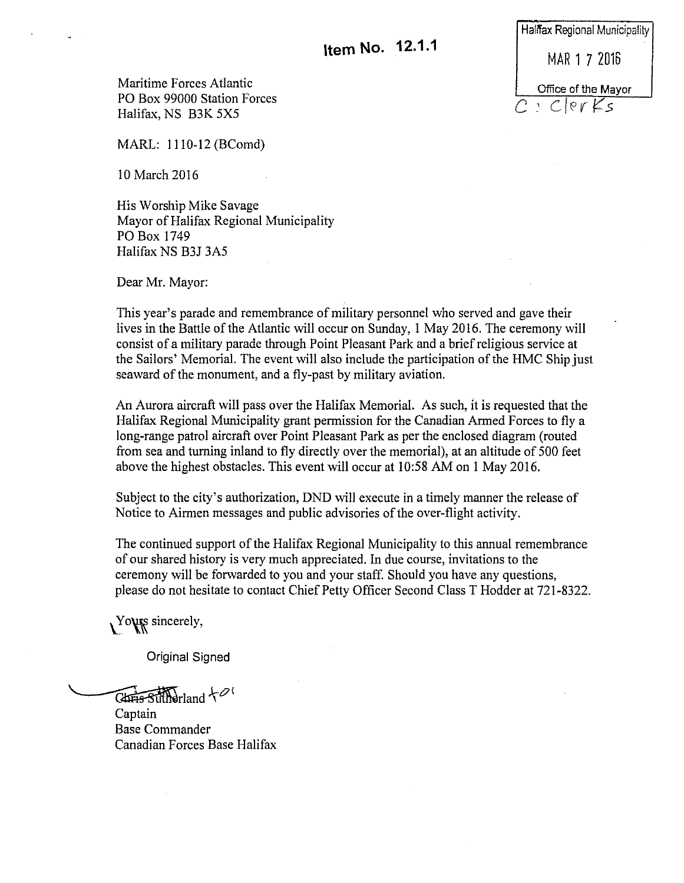Maritime Forces Atlantic PO Box 99000 Station Forces Halifax, NS B3K 5X5

MARL: 1110-12 (BComd)

10 March 2016

His Worship Mike Savage Mayor of Halifax Regional Municipality PO Box 1749 Halifax NS B3J 3A5

Dear Mr. Mayor:

This year's parade and remembrance of military personnel who served and gave their lives in the Battle of the Atlantic will occur on Sunday, 1 May 2016. The ceremony will consist of a military parade through Point Pleasant Park and a brief religious service at the Sailors' Memorial. The event will also include the participation of the HMC Ship just seaward of the monument, and a fly-past by military aviation.

An Aurora aircraft will pass over the Halifax Memorial. As such, it is requested that the Halifax Regional Municipality grant permission for the Canadian Armed Forces to fly a long-range patrol aircraft over Point Pleasant Park as per the enclosed diagram (routed from sea and turning inland to fly directly over the memorial), at an altitude of 500 feet above the highest obstacles. This event will occur at 10:58 AM on 1 May 2016.

Subject to the city's authorization, DND will execute in a timely manner the release of Notice to Airmen messages and public advisories of the over-flight activity.

The continued support of the Halifax Regional Municipality to this annual remembrance of our shared history is very much appreciated. In due course, invitations to the ceremony will be forwarded to you and your staff. Should you have any questions, please do not hesitate to contact Chief Petty Officer Second Class T Hodder at 721-8322.

 $Y$ o $\psi$ sincerely,

Original Signed

 $\overline{\text{Chris-SuffN}}$ rland $\tau^{\mathcal{O}'}$ 

Captain Base Commander Canadian Forces Base Halifax

Halifax Regional Municipality MAR 1 7 2016 Office of the Mayor *C:* Clerf:'.s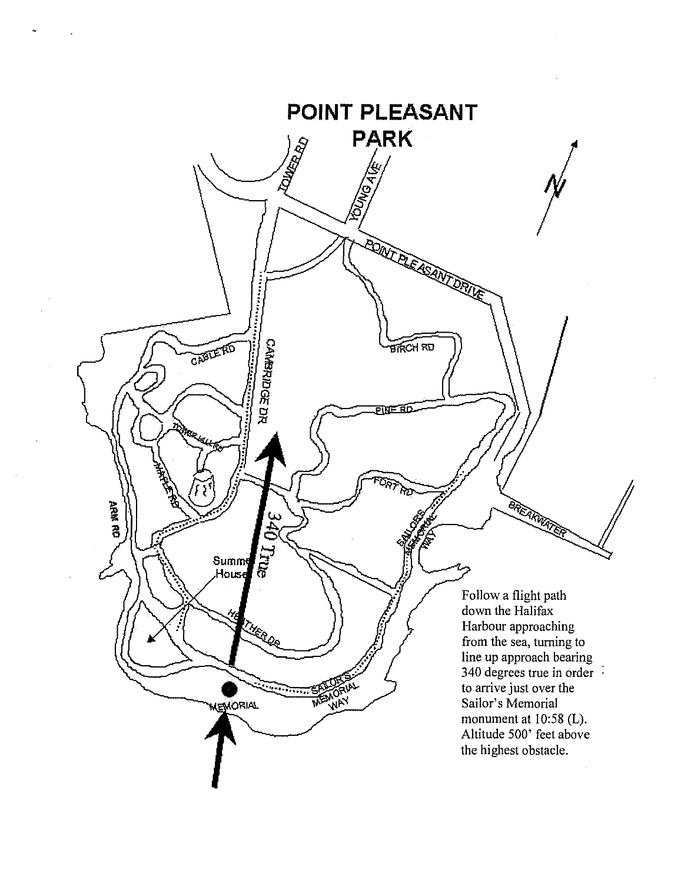